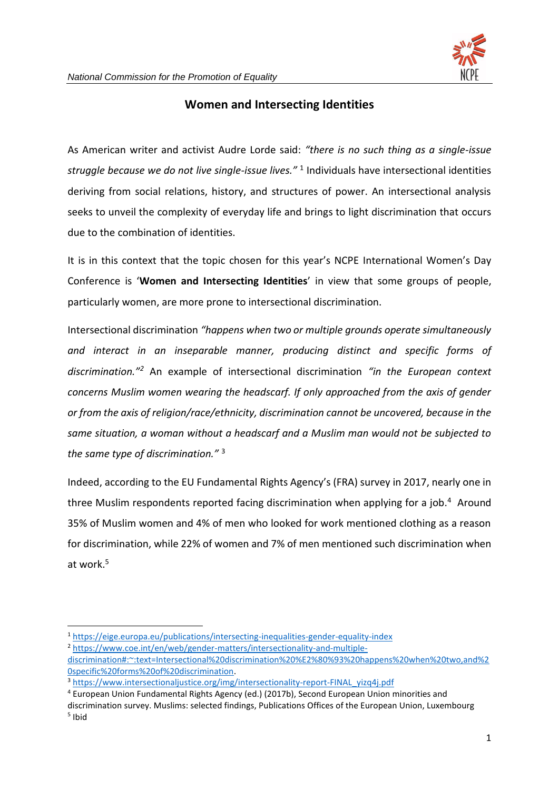

## **Women and Intersecting Identities**

As American writer and activist Audre Lorde said: *"there is no such thing as a single-issue struggle because we do not live single-issue lives."* <sup>1</sup> Individuals have intersectional identities deriving from social relations, history, and structures of power. An intersectional analysis seeks to unveil the complexity of everyday life and brings to light discrimination that occurs due to the combination of identities.

It is in this context that the topic chosen for this year's NCPE International Women's Day Conference is '**Women and Intersecting Identities**' in view that some groups of people, particularly women, are more prone to intersectional discrimination.

Intersectional discrimination *"happens when two or multiple grounds operate simultaneously and interact in an inseparable manner, producing distinct and specific forms of discrimination."<sup>2</sup>* An example of intersectional discrimination *"in the European context concerns Muslim women wearing the headscarf. If only approached from the axis of gender or from the axis of religion/race/ethnicity, discrimination cannot be uncovered, because in the same situation, a woman without a headscarf and a Muslim man would not be subjected to the same type of discrimination."* <sup>3</sup>

Indeed, according to the EU Fundamental Rights Agency's (FRA) survey in 2017, nearly one in three Muslim respondents reported facing discrimination when applying for a job.<sup>4</sup> Around 35% of Muslim women and 4% of men who looked for work mentioned clothing as a reason for discrimination, while 22% of women and 7% of men mentioned such discrimination when at work.<sup>5</sup>

<sup>1</sup> <https://eige.europa.eu/publications/intersecting-inequalities-gender-equality-index>

<sup>2</sup> [https://www.coe.int/en/web/gender-matters/intersectionality-and-multiple-](https://www.coe.int/en/web/gender-matters/intersectionality-and-multiple-discrimination#:~:text=Intersectional%20discrimination%20%E2%80%93%20happens%20when%20two,and%20specific%20forms%20of%20discrimination)

[discrimination#:~:text=Intersectional%20discrimination%20%E2%80%93%20happens%20when%20two,and%2](https://www.coe.int/en/web/gender-matters/intersectionality-and-multiple-discrimination#:~:text=Intersectional%20discrimination%20%E2%80%93%20happens%20when%20two,and%20specific%20forms%20of%20discrimination) [0specific%20forms%20of%20discrimination.](https://www.coe.int/en/web/gender-matters/intersectionality-and-multiple-discrimination#:~:text=Intersectional%20discrimination%20%E2%80%93%20happens%20when%20two,and%20specific%20forms%20of%20discrimination)

<sup>&</sup>lt;sup>3</sup> [https://www.intersectionaljustice.org/img/intersectionality-report-FINAL\\_yizq4j.pdf](https://www.intersectionaljustice.org/img/intersectionality-report-FINAL_yizq4j.pdf)

<sup>4</sup> European Union Fundamental Rights Agency (ed.) (2017b), Second European Union minorities and discrimination survey. Muslims: selected findings, Publications Offices of the European Union, Luxembourg 5 Ibid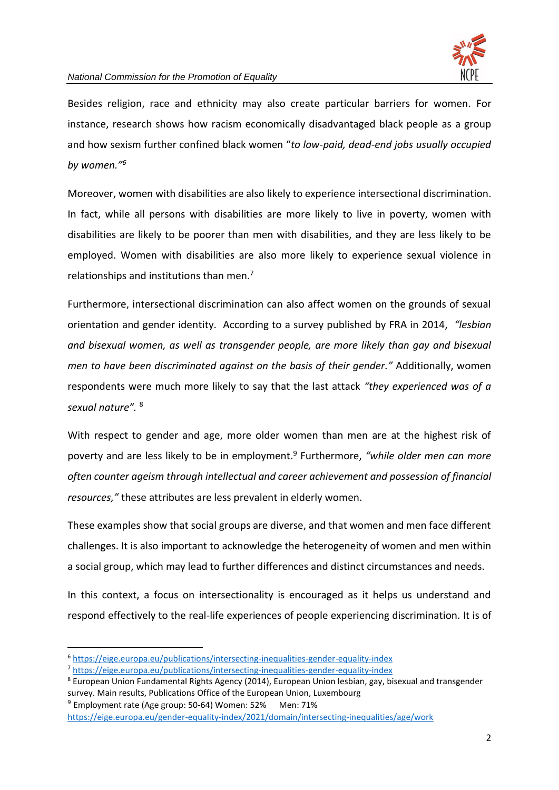

Besides religion, race and ethnicity may also create particular barriers for women. For instance, research shows how racism economically disadvantaged black people as a group and how sexism further confined black women "*to low-paid, dead-end jobs usually occupied by women."<sup>6</sup>* 

Moreover, women with disabilities are also likely to experience intersectional discrimination. In fact, while all persons with disabilities are more likely to live in poverty, women with disabilities are likely to be poorer than men with disabilities, and they are less likely to be employed. Women with disabilities are also more likely to experience sexual violence in relationships and institutions than men.<sup>7</sup>

Furthermore, intersectional discrimination can also affect women on the grounds of sexual orientation and gender identity. According to a survey published by FRA in 2014, *"lesbian and bisexual women, as well as transgender people, are more likely than gay and bisexual men to have been discriminated against on the basis of their gender."* Additionally, women respondents were much more likely to say that the last attack *"they experienced was of a sexual nature".* <sup>8</sup>

With respect to gender and age, more older women than men are at the highest risk of poverty and are less likely to be in employment. <sup>9</sup> Furthermore, *"while older men can more often counter ageism through intellectual and career achievement and possession of financial resources,"* these attributes are less prevalent in elderly women.

These examples show that social groups are diverse, and that women and men face different challenges. It is also important to acknowledge the heterogeneity of women and men within a social group, which may lead to further differences and distinct circumstances and needs.

In this context, a focus on intersectionality is encouraged as it helps us understand and respond effectively to the real-life experiences of people experiencing discrimination. It is of

<sup>6</sup> <https://eige.europa.eu/publications/intersecting-inequalities-gender-equality-index>

<sup>7</sup> <https://eige.europa.eu/publications/intersecting-inequalities-gender-equality-index>

<sup>8</sup> European Union Fundamental Rights Agency (2014), European Union lesbian, gay, bisexual and transgender survey. Main results, Publications Office of the European Union, Luxembourg

<sup>&</sup>lt;sup>9</sup> Employment rate (Age group: 50-64) Women: 52% Men: 71%

<https://eige.europa.eu/gender-equality-index/2021/domain/intersecting-inequalities/age/work>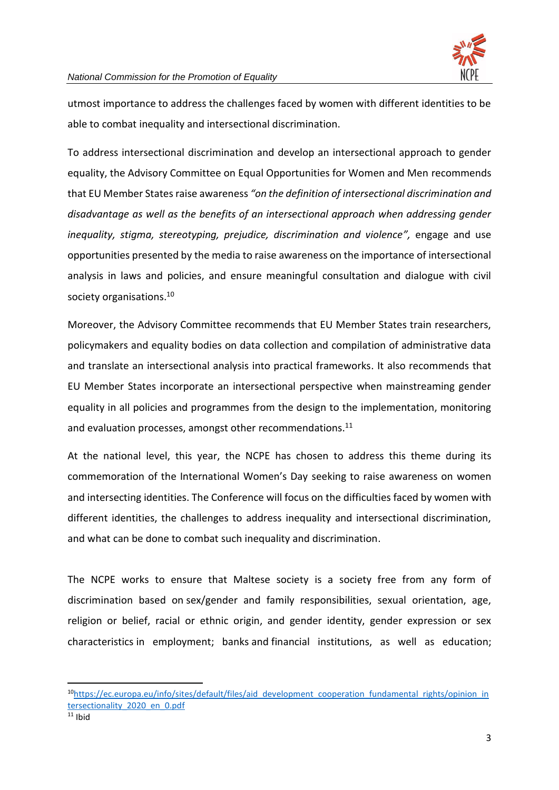

utmost importance to address the challenges faced by women with different identities to be able to combat inequality and intersectional discrimination.

To address intersectional discrimination and develop an intersectional approach to gender equality, the Advisory Committee on Equal Opportunities for Women and Men recommends that EU Member States raise awareness *"on the definition of intersectional discrimination and disadvantage as well as the benefits of an intersectional approach when addressing gender inequality, stigma, stereotyping, prejudice, discrimination and violence",* engage and use opportunities presented by the media to raise awareness on the importance of intersectional analysis in laws and policies, and ensure meaningful consultation and dialogue with civil society organisations.<sup>10</sup>

Moreover, the Advisory Committee recommends that EU Member States train researchers, policymakers and equality bodies on data collection and compilation of administrative data and translate an intersectional analysis into practical frameworks. It also recommends that EU Member States incorporate an intersectional perspective when mainstreaming gender equality in all policies and programmes from the design to the implementation, monitoring and evaluation processes, amongst other recommendations.<sup>11</sup>

At the national level, this year, the NCPE has chosen to address this theme during its commemoration of the International Women's Day seeking to raise awareness on women and intersecting identities. The Conference will focus on the difficulties faced by women with different identities, the challenges to address inequality and intersectional discrimination, and what can be done to combat such inequality and discrimination.

The NCPE works to ensure that Maltese society is a society free from any form of discrimination based on sex/gender and family responsibilities, sexual orientation, age, religion or belief, racial or ethnic origin, and gender identity, gender expression or sex characteristics in employment; banks and financial institutions, as well as education;

<sup>10</sup>[https://ec.europa.eu/info/sites/default/files/aid\\_development\\_cooperation\\_fundamental\\_rights/opinion\\_in](https://ec.europa.eu/info/sites/default/files/aid_development_cooperation_fundamental_rights/opinion_intersectionality_2020_en_0.pdf) tersectionality 2020 en 0.pdf